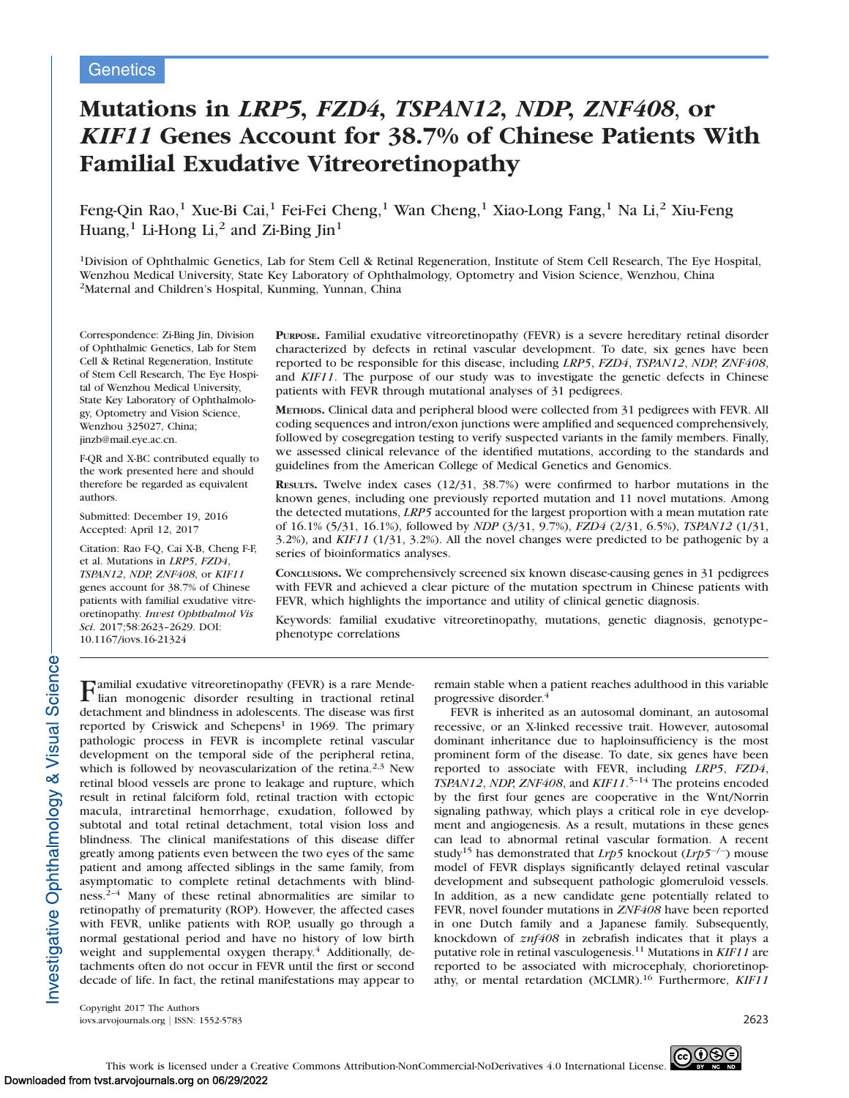# Mutations in LRP5, FZD4, TSPAN12, NDP, ZNF408, or KIF11 Genes Account for 38.7% of Chinese Patients With Familial Exudative Vitreoretinopathy

Feng-Qin Rao,<sup>1</sup> Xue-Bi Cai,<sup>1</sup> Fei-Fei Cheng,<sup>1</sup> Wan Cheng,<sup>1</sup> Xiao-Long Fang,<sup>1</sup> Na Li,<sup>2</sup> Xiu-Feng Huang, $<sup>1</sup>$  Li-Hong Li, $<sup>2</sup>$  and Zi-Bing Jin<sup>1</sup></sup></sup>

<sup>1</sup>Division of Ophthalmic Genetics, Lab for Stem Cell & Retinal Regeneration, Institute of Stem Cell Research, The Eye Hospital, Wenzhou Medical University, State Key Laboratory of Ophthalmology, Optometry and Vision Science, Wenzhou, China 2Maternal and Children's Hospital, Kunming, Yunnan, China

Correspondence: Zi-Bing Jin, Division of Ophthalmic Genetics, Lab for Stem Cell & Retinal Regeneration, Institute of Stem Cell Research, The Eye Hospital of Wenzhou Medical University, State Key Laboratory of Ophthalmology, Optometry and Vision Science, Wenzhou 325027, China; jinzb@mail.eye.ac.cn.

F-QR and X-BC contributed equally to the work presented here and should therefore be regarded as equivalent authors.

Submitted: December 19, 2016 Accepted: April 12, 2017

Citation: Rao F-Q, Cai X-B, Cheng F-F, et al. Mutations in LRP5, FZD4, TSPAN12, NDP, ZNF408, or KIF11 genes account for 38.7% of Chinese patients with familial exudative vitreoretinopathy. Invest Ophthalmol Vis Sci. 2017;58:2623–2629. DOI: 10.1167/iovs.16-21324

PURPOSE. Familial exudative vitreoretinopathy (FEVR) is a severe hereditary retinal disorder characterized by defects in retinal vascular development. To date, six genes have been reported to be responsible for this disease, including LRP5, FZD4, TSPAN12, NDP, ZNF408, and KIF11. The purpose of our study was to investigate the genetic defects in Chinese patients with FEVR through mutational analyses of 31 pedigrees.

METHODS. Clinical data and peripheral blood were collected from 31 pedigrees with FEVR. All coding sequences and intron/exon junctions were amplified and sequenced comprehensively, followed by cosegregation testing to verify suspected variants in the family members. Finally, we assessed clinical relevance of the identified mutations, according to the standards and guidelines from the American College of Medical Genetics and Genomics.

RESULTS. Twelve index cases (12/31, 38.7%) were confirmed to harbor mutations in the known genes, including one previously reported mutation and 11 novel mutations. Among the detected mutations, LRP5 accounted for the largest proportion with a mean mutation rate of 16.1% (5/31, 16.1%), followed by NDP (3/31, 9.7%), FZD4 (2/31, 6.5%), TSPAN12 (1/31,  $3.2\%$ ), and KIF11 (1/31, 3.2%). All the novel changes were predicted to be pathogenic by a series of bioinformatics analyses.

CONCLUSIONS. We comprehensively screened six known disease-causing genes in 31 pedigrees with FEVR and achieved a clear picture of the mutation spectrum in Chinese patients with FEVR, which highlights the importance and utility of clinical genetic diagnosis.

Keywords: familial exudative vitreoretinopathy, mutations, genetic diagnosis, genotype– phenotype correlations

Familial exudative vitreoretinopathy (FEVR) is a rare Mende-lian monogenic disorder resulting in tractional retinal detachment and blindness in adolescents. The disease was first reported by Criswick and Schepens<sup>1</sup> in 1969. The primary pathologic process in FEVR is incomplete retinal vascular development on the temporal side of the peripheral retina, which is followed by neovascularization of the retina.<sup>2,3</sup> New retinal blood vessels are prone to leakage and rupture, which result in retinal falciform fold, retinal traction with ectopic macula, intraretinal hemorrhage, exudation, followed by subtotal and total retinal detachment, total vision loss and blindness. The clinical manifestations of this disease differ greatly among patients even between the two eyes of the same patient and among affected siblings in the same family, from asymptomatic to complete retinal detachments with blindness.2–4 Many of these retinal abnormalities are similar to retinopathy of prematurity (ROP). However, the affected cases with FEVR, unlike patients with ROP, usually go through a normal gestational period and have no history of low birth weight and supplemental oxygen therapy.<sup>4</sup> Additionally, detachments often do not occur in FEVR until the first or second decade of life. In fact, the retinal manifestations may appear to remain stable when a patient reaches adulthood in this variable progressive disorder.4

FEVR is inherited as an autosomal dominant, an autosomal recessive, or an X-linked recessive trait. However, autosomal dominant inheritance due to haploinsufficiency is the most prominent form of the disease. To date, six genes have been reported to associate with FEVR, including LRP5, FZD4, TSPAN12, NDP, ZNF408, and KIF11.<sup>5-14</sup> The proteins encoded by the first four genes are cooperative in the Wnt/Norrin signaling pathway, which plays a critical role in eye development and angiogenesis. As a result, mutations in these genes can lead to abnormal retinal vascular formation. A recent study<sup>15</sup> has demonstrated that *Lrp5* knockout (*Lrp5<sup>-/-</sup>*) mouse model of FEVR displays significantly delayed retinal vascular development and subsequent pathologic glomeruloid vessels. In addition, as a new candidate gene potentially related to FEVR, novel founder mutations in ZNF408 have been reported in one Dutch family and a Japanese family. Subsequently, knockdown of znf408 in zebrafish indicates that it plays a putative role in retinal vasculogenesis.<sup>11</sup> Mutations in KIF11 are reported to be associated with microcephaly, chorioretinopathy, or mental retardation (MCLMR).<sup>16</sup> Furthermore, *KIF11* 

Copyright 2017 The Authors iovs.arvojournals.org j ISSN: 1552-5783 2623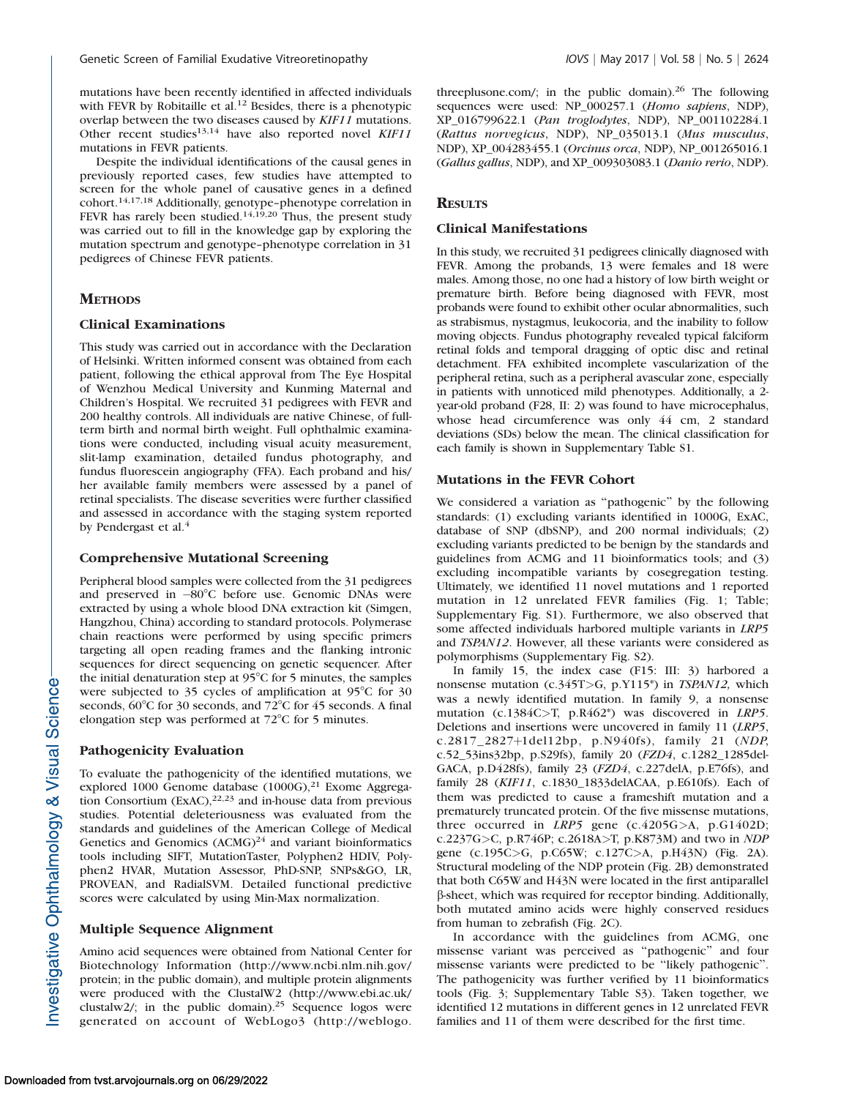mutations have been recently identified in affected individuals with FEVR by Robitaille et al.<sup>12</sup> Besides, there is a phenotypic overlap between the two diseases caused by KIF11 mutations. Other recent studies<sup>13,14</sup> have also reported novel KIF11 mutations in FEVR patients.

Despite the individual identifications of the causal genes in previously reported cases, few studies have attempted to screen for the whole panel of causative genes in a defined cohort.14,17,18 Additionally, genotype–phenotype correlation in FEVR has rarely been studied.<sup>14,19,20</sup> Thus, the present study was carried out to fill in the knowledge gap by exploring the mutation spectrum and genotype–phenotype correlation in 31 pedigrees of Chinese FEVR patients.

# **METHODS**

#### Clinical Examinations

This study was carried out in accordance with the Declaration of Helsinki. Written informed consent was obtained from each patient, following the ethical approval from The Eye Hospital of Wenzhou Medical University and Kunming Maternal and Children's Hospital. We recruited 31 pedigrees with FEVR and 200 healthy controls. All individuals are native Chinese, of fullterm birth and normal birth weight. Full ophthalmic examinations were conducted, including visual acuity measurement, slit-lamp examination, detailed fundus photography, and fundus fluorescein angiography (FFA). Each proband and his/ her available family members were assessed by a panel of retinal specialists. The disease severities were further classified and assessed in accordance with the staging system reported by Pendergast et al.<sup>4</sup>

#### Comprehensive Mutational Screening

Peripheral blood samples were collected from the 31 pedigrees and preserved in -80°C before use. Genomic DNAs were extracted by using a whole blood DNA extraction kit (Simgen, Hangzhou, China) according to standard protocols. Polymerase chain reactions were performed by using specific primers targeting all open reading frames and the flanking intronic sequences for direct sequencing on genetic sequencer. After the initial denaturation step at 95°C for 5 minutes, the samples were subjected to 35 cycles of amplification at  $95^{\circ}$ C for 30 seconds,  $60^{\circ}$ C for 30 seconds, and  $72^{\circ}$ C for 45 seconds. A final elongation step was performed at  $72^{\circ}$ C for 5 minutes.

#### Pathogenicity Evaluation

To evaluate the pathogenicity of the identified mutations, we explored 1000 Genome database  $(1000G)$ ,<sup>21</sup> Exome Aggregation Consortium  $(ExAC)$ ,  $2^{2,23}$  and in-house data from previous studies. Potential deleteriousness was evaluated from the standards and guidelines of the American College of Medical Genetics and Genomics  $(ACMG)^{24}$  and variant bioinformatics tools including SIFT, MutationTaster, Polyphen2 HDIV, Polyphen2 HVAR, Mutation Assessor, PhD-SNP, SNPs&GO, LR, PROVEAN, and RadialSVM. Detailed functional predictive scores were calculated by using Min-Max normalization.

# Multiple Sequence Alignment

Amino acid sequences were obtained from National Center for Biotechnology Information (http://www.ncbi.nlm.nih.gov/ protein; in the public domain), and multiple protein alignments were produced with the ClustalW2 (http://www.ebi.ac.uk/ clustalw2/; in the public domain).<sup>25</sup> Sequence logos were generated on account of WebLogo3 (http://weblogo.

threeplusone.com/; in the public domain). $26$  The following sequences were used: NP\_000257.1 (Homo sapiens, NDP), XP\_016799622.1 (Pan troglodytes, NDP), NP\_001102284.1 (Rattus norvegicus, NDP), NP\_035013.1 (Mus musculus, NDP), XP\_004283455.1 (Orcinus orca, NDP), NP\_001265016.1 (Gallus gallus, NDP), and XP\_009303083.1 (Danio rerio, NDP).

## **RESULTS**

# Clinical Manifestations

In this study, we recruited 31 pedigrees clinically diagnosed with FEVR. Among the probands, 13 were females and 18 were males. Among those, no one had a history of low birth weight or premature birth. Before being diagnosed with FEVR, most probands were found to exhibit other ocular abnormalities, such as strabismus, nystagmus, leukocoria, and the inability to follow moving objects. Fundus photography revealed typical falciform retinal folds and temporal dragging of optic disc and retinal detachment. FFA exhibited incomplete vascularization of the peripheral retina, such as a peripheral avascular zone, especially in patients with unnoticed mild phenotypes. Additionally, a 2 year-old proband (F28, II: 2) was found to have microcephalus, whose head circumference was only 44 cm, 2 standard deviations (SDs) below the mean. The clinical classification for each family is shown in Supplementary Table S1.

## Mutations in the FEVR Cohort

We considered a variation as ''pathogenic'' by the following standards: (1) excluding variants identified in 1000G, ExAC, database of SNP (dbSNP), and 200 normal individuals; (2) excluding variants predicted to be benign by the standards and guidelines from ACMG and 11 bioinformatics tools; and (3) excluding incompatible variants by cosegregation testing. Ultimately, we identified 11 novel mutations and 1 reported mutation in 12 unrelated FEVR families (Fig. 1; Table; Supplementary Fig. S1). Furthermore, we also observed that some affected individuals harbored multiple variants in LRP5 and TSPAN12. However, all these variants were considered as polymorphisms (Supplementary Fig. S2).

In family 15, the index case (F15: III: 3) harbored a nonsense mutation (c.345T>G, p.Y115\*) in TSPAN12, which was a newly identified mutation. In family 9, a nonsense mutation (c.1384C>T, p.R462\*) was discovered in *LRP5*. Deletions and insertions were uncovered in family 11 (LRP5, c.2817\_2827+1del12bp, p.N940fs), family 21 (NDP, c.52\_53ins32bp, p.S29fs), family 20 (FZD4, c.1282\_1285del-GACA, p.D428fs), family 23 (FZD4, c.227delA, p.E76fs), and family 28 (KIF11, c.1830\_1833delACAA, p.E610fs). Each of them was predicted to cause a frameshift mutation and a prematurely truncated protein. Of the five missense mutations, three occurred in LRP5 gene (c.4205G>A, p.G1402D; c.2237G>C, p.R746P; c.2618A>T, p.K873M) and two in NDP gene (c.195C>G, p.C65W; c.127C>A, p.H43N) (Fig. 2A). Structural modeling of the NDP protein (Fig. 2B) demonstrated that both C65W and H43N were located in the first antiparallel b-sheet, which was required for receptor binding. Additionally, both mutated amino acids were highly conserved residues from human to zebrafish (Fig. 2C).

In accordance with the guidelines from ACMG, one missense variant was perceived as ''pathogenic'' and four missense variants were predicted to be ''likely pathogenic''. The pathogenicity was further verified by 11 bioinformatics tools (Fig. 3; Supplementary Table S3). Taken together, we identified 12 mutations in different genes in 12 unrelated FEVR families and 11 of them were described for the first time.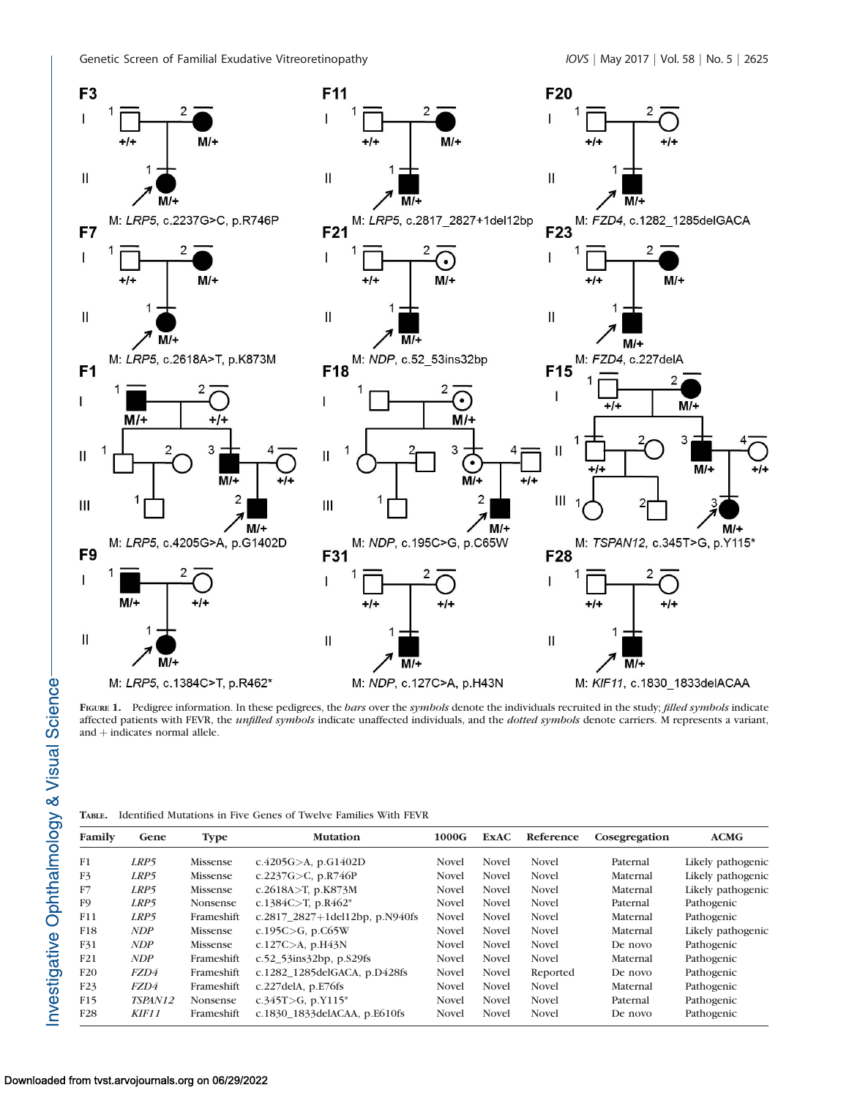

FIGURE 1. Pedigree information. In these pedigrees, the bars over the symbols denote the individuals recruited in the study; filled symbols indicate affected patients with FEVR, the *unfilled symbols* indicate unaffected individuals, and the *dotted symbols* denote carriers. M represents a variant, and  $+$  indicates normal allele.

|  | <b>TABLE.</b> Identified Mutations in Five Genes of Twelve Families With FEVR |  |  |  |  |  |  |  |  |  |  |
|--|-------------------------------------------------------------------------------|--|--|--|--|--|--|--|--|--|--|
|--|-------------------------------------------------------------------------------|--|--|--|--|--|--|--|--|--|--|

| Family          | Gene       | <b>Type</b>     | <b>Mutation</b>                   | 1000G        | <b>ExAC</b>  | Reference    | Cosegregation | ACMG              |
|-----------------|------------|-----------------|-----------------------------------|--------------|--------------|--------------|---------------|-------------------|
| F1              | LRP5       | Missense        | c.4205G $>$ A, p.G1402D           | Novel        | <b>Novel</b> | <b>Novel</b> | Paternal      | Likely pathogenic |
| F3              | LRP5       | Missense        | c.2237G $>$ C, p.R746P            | <b>Novel</b> | <b>Novel</b> | <b>Novel</b> | Maternal      | Likely pathogenic |
| F7              | LRP5       | Missense        | c.2618A>T, p.K873M                | Novel        | <b>Novel</b> | <b>Novel</b> | Maternal      | Likely pathogenic |
| F <sub>9</sub>  | LRP5       | <b>Nonsense</b> | c.1384C>T, p.R462*                | <b>Novel</b> | <b>Novel</b> | Novel        | Paternal      | Pathogenic        |
| F11             | LRP5       | Frameshift      | c.2817_2827+1del12bp, p.N940fs    | Novel        | <b>Novel</b> | <b>Novel</b> | Maternal      | Pathogenic        |
| F18             | <b>NDP</b> | Missense        | c.195C $>$ G, p.C65W              | <b>Novel</b> | <b>Novel</b> | <b>Novel</b> | Maternal      | Likely pathogenic |
| F31             | NDP        | Missense        | c.127C>A, $p.H43N$                | <b>Novel</b> | <b>Novel</b> | <b>Novel</b> | De novo       | Pathogenic        |
| F21             | NDP        | Frameshift      | c.52 $53$ ins $32bp$ , p. $529fs$ | <b>Novel</b> | <b>Novel</b> | Novel        | Maternal      | Pathogenic        |
| F20             | FZD4       | Frameshift      | c.1282 1285delGACA, p.D428fs      | <b>Novel</b> | <b>Novel</b> | Reported     | De novo       | Pathogenic        |
| F23             | FZD4       | Frameshift      | c.227delA, $p.E76fs$              | <b>Novel</b> | <b>Novel</b> | <b>Novel</b> | Maternal      | Pathogenic        |
| F15             | TSPAN12    | Nonsense        | c.345T>G, p.Y115*                 | <b>Novel</b> | <b>Novel</b> | Novel        | Paternal      | Pathogenic        |
| F <sub>28</sub> | KIF11      | Frameshift      | c.1830 1833delACAA, p.E610fs      | Novel        | <b>Novel</b> | <b>Novel</b> | De novo       | Pathogenic        |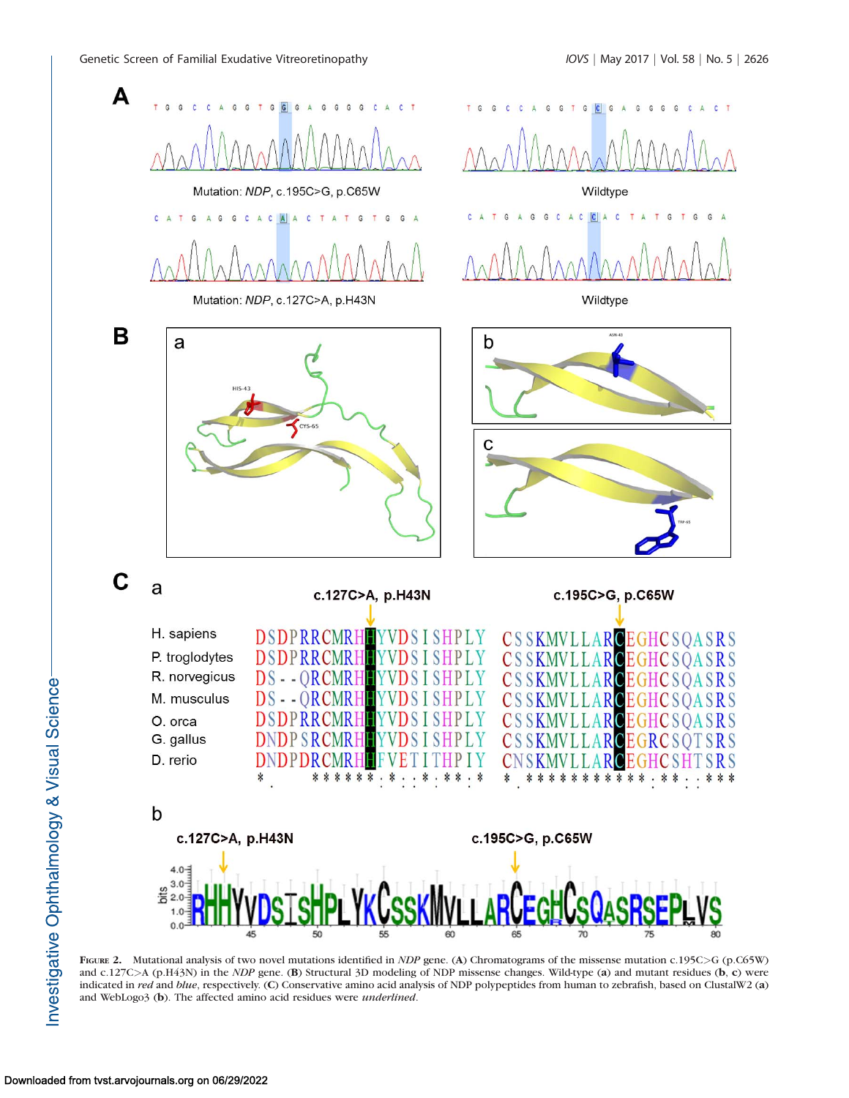

FIGURE 2. Mutational analysis of two novel mutations identified in *NDP* gene. (A) Chromatograms of the missense mutation c.195C>G (p.C65W) and c.127C>A (p.H43N) in the *NDP* gene. (B) Structural 3D modeling of NDP missense changes. Wild-type (a) and mutant residues (b, c) were indicated in red and blue, respectively. (C) Conservative amino acid analysis of NDP polypeptides from human to zebrafish, based on ClustalW2 (a) and WebLogo3 (b). The affected amino acid residues were underlined.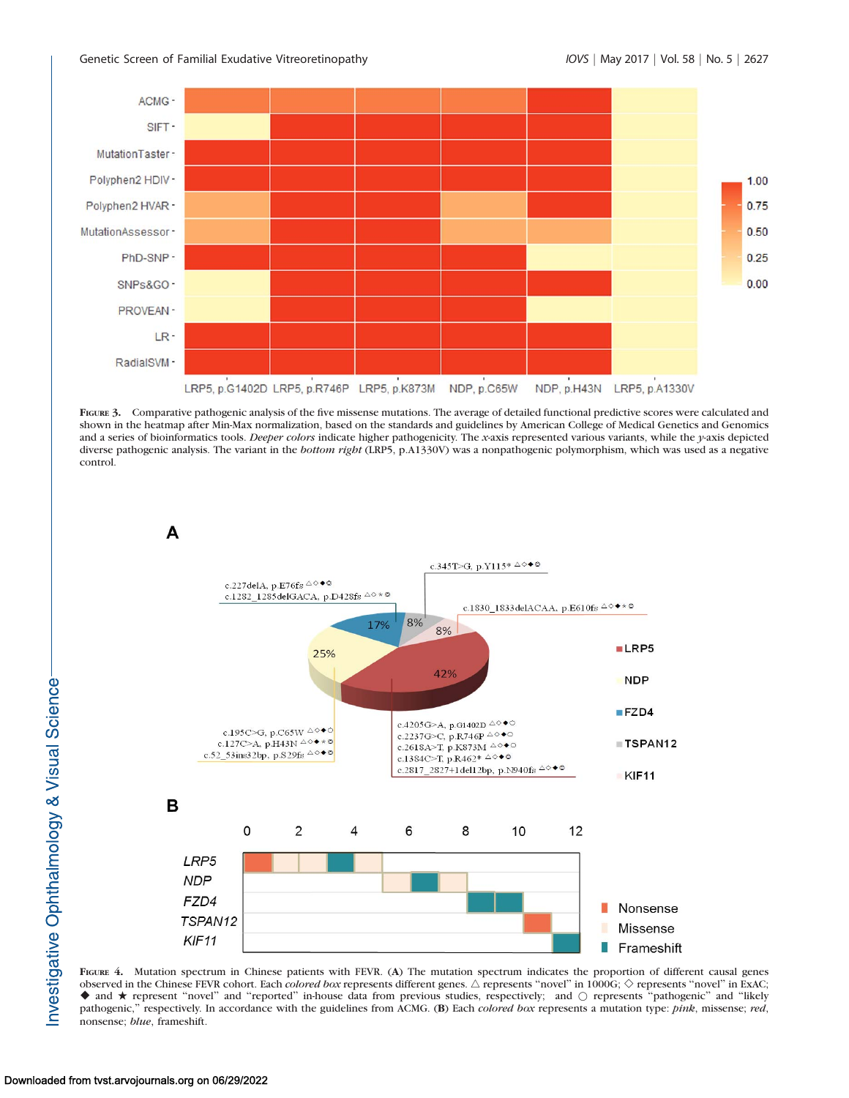

FIGURE 3. Comparative pathogenic analysis of the five missense mutations. The average of detailed functional predictive scores were calculated and shown in the heatmap after Min-Max normalization, based on the standards and guidelines by American College of Medical Genetics and Genomics and a series of bioinformatics tools. Deeper colors indicate higher pathogenicity. The x-axis represented various variants, while the y-axis depicted diverse pathogenic analysis. The variant in the bottom right (LRP5, p.A1330V) was a nonpathogenic polymorphism, which was used as a negative control.



FIGURE 4. Mutation spectrum in Chinese patients with FEVR. (A) The mutation spectrum indicates the proportion of different causal genes observed in the Chinese FEVR cohort. Each *colored box* represents different genes.  $\triangle$  represents "novel" in 1000G;  $\diamond$  represents "novel" in ExAC; ◆ and ★ represent "novel" and "reported" in-house data from previous studies, respectively; and ○ represents "pathogenic" and "likely pathogenic," respectively. In accordance with the guidelines from ACMG. (B) Each colored box represents a mutation type: pink, missense; red, nonsense; blue, frameshift.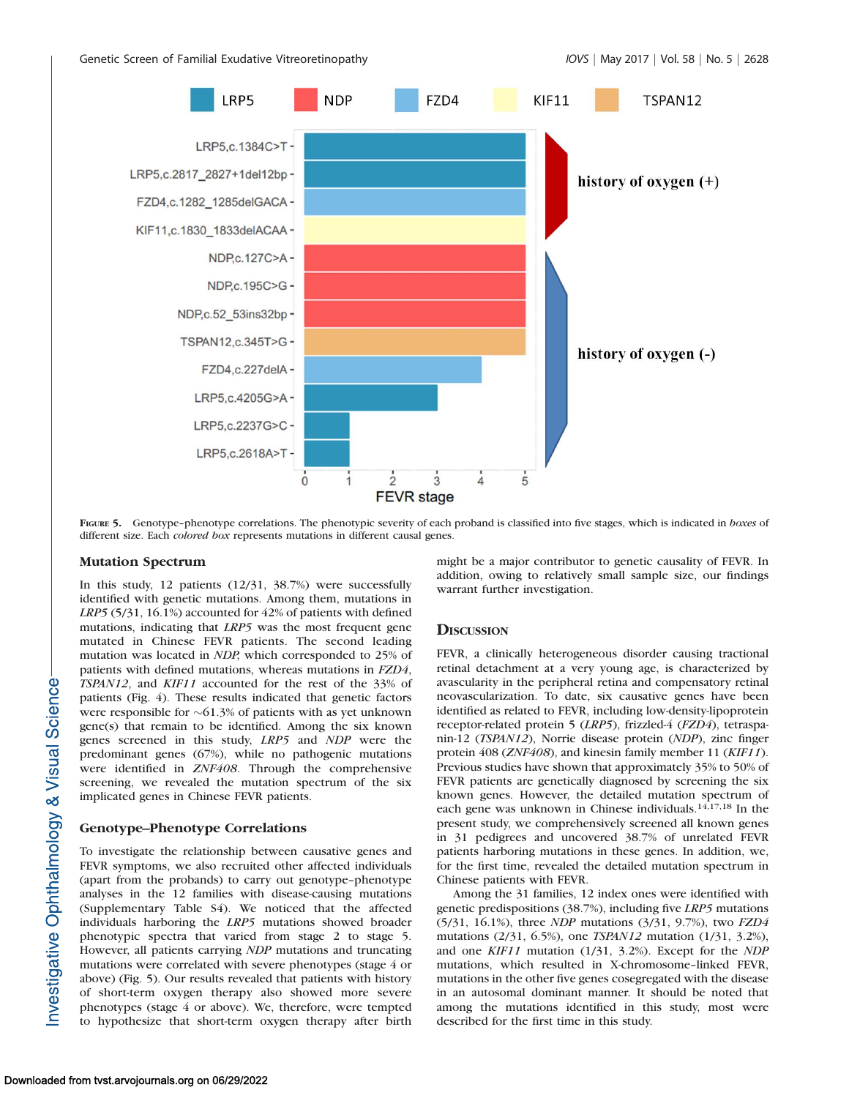

FIGURE 5. Genotype-phenotype correlations. The phenotypic severity of each proband is classified into five stages, which is indicated in boxes of different size. Each colored box represents mutations in different causal genes.

### Mutation Spectrum

In this study, 12 patients (12/31, 38.7%) were successfully identified with genetic mutations. Among them, mutations in LRP5 (5/31, 16.1%) accounted for 42% of patients with defined mutations, indicating that LRP5 was the most frequent gene mutated in Chinese FEVR patients. The second leading mutation was located in NDP, which corresponded to 25% of patients with defined mutations, whereas mutations in FZD4, TSPAN12, and KIF11 accounted for the rest of the 33% of patients (Fig. 4). These results indicated that genetic factors were responsible for  $\sim 61.3\%$  of patients with as yet unknown gene(s) that remain to be identified. Among the six known genes screened in this study, LRP5 and NDP were the predominant genes (67%), while no pathogenic mutations were identified in ZNF408. Through the comprehensive screening, we revealed the mutation spectrum of the six implicated genes in Chinese FEVR patients.

# Genotype–Phenotype Correlations

To investigate the relationship between causative genes and FEVR symptoms, we also recruited other affected individuals (apart from the probands) to carry out genotype–phenotype analyses in the 12 families with disease-causing mutations (Supplementary Table S4). We noticed that the affected individuals harboring the LRP5 mutations showed broader phenotypic spectra that varied from stage 2 to stage 5. However, all patients carrying NDP mutations and truncating mutations were correlated with severe phenotypes (stage 4 or above) (Fig. 5). Our results revealed that patients with history of short-term oxygen therapy also showed more severe phenotypes (stage 4 or above). We, therefore, were tempted to hypothesize that short-term oxygen therapy after birth

might be a major contributor to genetic causality of FEVR. In addition, owing to relatively small sample size, our findings warrant further investigation.

### **DISCUSSION**

FEVR, a clinically heterogeneous disorder causing tractional retinal detachment at a very young age, is characterized by avascularity in the peripheral retina and compensatory retinal neovascularization. To date, six causative genes have been identified as related to FEVR, including low-density-lipoprotein receptor-related protein 5 (LRP5), frizzled-4 (FZD4), tetraspanin-12 (TSPAN12), Norrie disease protein (NDP), zinc finger protein 408 (ZNF408), and kinesin family member 11 (KIF11). Previous studies have shown that approximately 35% to 50% of FEVR patients are genetically diagnosed by screening the six known genes. However, the detailed mutation spectrum of each gene was unknown in Chinese individuals.<sup>14,17,18</sup> In the present study, we comprehensively screened all known genes in 31 pedigrees and uncovered 38.7% of unrelated FEVR patients harboring mutations in these genes. In addition, we, for the first time, revealed the detailed mutation spectrum in Chinese patients with FEVR.

Among the 31 families, 12 index ones were identified with genetic predispositions (38.7%), including five LRP5 mutations (5/31, 16.1%), three NDP mutations (3/31, 9.7%), two FZD4 mutations (2/31, 6.5%), one TSPAN12 mutation (1/31, 3.2%), and one KIF11 mutation (1/31, 3.2%). Except for the NDP mutations, which resulted in X-chromosome–linked FEVR, mutations in the other five genes cosegregated with the disease in an autosomal dominant manner. It should be noted that among the mutations identified in this study, most were described for the first time in this study.